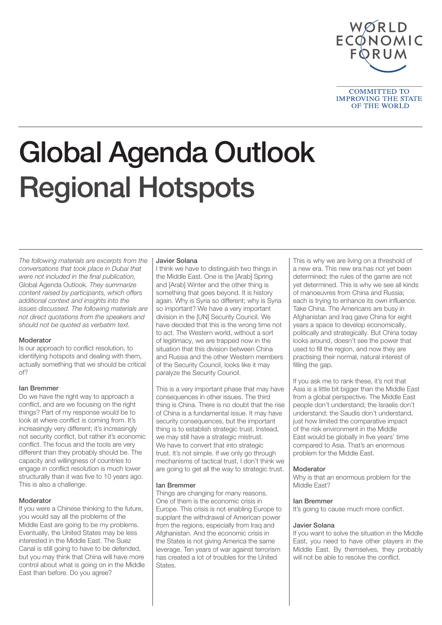

Global Agenda Outlook Regional Hotspots

The following materials are excerpts from the conversations that took place in Dubai that were not included in the final publication, Global Agenda Outlook. They summarize content raised by participants, which offers additional context and insights into the issues discussed. The following materials are not direct quotations from the speakers and should not be quoted as verbatim text.

# **Moderator**

Is our approach to conflict resolution, to identifying hotspots and dealing with them, actually something that we should be critical of?

# Ian Bremmer

Do we have the right way to approach a conflict, and are we focusing on the right things? Part of my response would be to look at where conflict is coming from. It's increasingly very different; it's increasingly not security conflict, but rather it's economic conflict. The focus and the tools are very different than they probably should be. The capacity and willingness of countries to engage in conflict resolution is much lower structurally than it was five to 10 years ago. This is also a challenge.

# Moderator

If you were a Chinese thinking to the future, you would say all the problems of the Middle East are going to be my problems. Eventually, the United States may be less interested in the Middle East. The Suez Canal is still going to have to be defended, but you may think that China will have more control about what is going on in the Middle East than before. Do you agree?

#### Javier Solana

I think we have to distinguish two things in the Middle East. One is the [Arab] Spring and [Arab] Winter and the other thing is something that goes beyond. It is history again. Why is Syria so different; why is Syria so important? We have a very important division in the [UN] Security Council. We have decided that this is the wrong time not to act. The Western world, without a sort of legitimacy, we are trapped now in the situation that this division between China and Russia and the other Western members of the Security Council, looks like it may paralyze the Security Council.

This is a very important phase that may have consequences in other issues. The third thing is China. There is no doubt that the rise of China is a fundamental issue. It may have security consequences, but the important thing is to establish strategic trust. Instead, we may still have a strategic mistrust. We have to convert that into strategic trust. It's not simple. If we only go through mechanisms of tactical trust, I don't think we are going to get all the way to strategic trust.

# Ian Bremmer

Things are changing for many reasons. One of them is the economic crisis in Europe. This crisis is not enabling Europe to supplant the withdrawal of American power from the regions, especially from Iraq and Afghanistan. And the economic crisis in the States is not giving America the same leverage. Ten years of war against terrorism has created a lot of troubles for the United States.

This is why we are living on a threshold of a new era. This new era has not yet been determined; the rules of the game are not yet determined. This is why we see all kinds of manoeuvres from China and Russia; each is trying to enhance its own influence. Take China. The Americans are busy in Afghanistan and Iraq gave China for eight years a space to develop economically, politically and strategically. But China today looks around, doesn't see the power that used to fill the region, and now they are practising their normal, natural interest of filling the gap.

If you ask me to rank these, it's not that Asia is a little bit bigger than the Middle East from a global perspective. The Middle East people don't understand; the Israelis don't understand; the Saudis don't understand, just how limited the comparative impact of the risk environment in the Middle East would be globally in five years' time compared to Asia. That's an enormous problem for the Middle East.

### Moderator

Why is that an enormous problem for the Middle East?

#### Ian Bremmer

It's going to cause much more conflict.

#### Javier Solana

If you want to solve the situation in the Middle East, you need to have other players in the Middle East. By themselves, they probably will not be able to resolve the conflict.